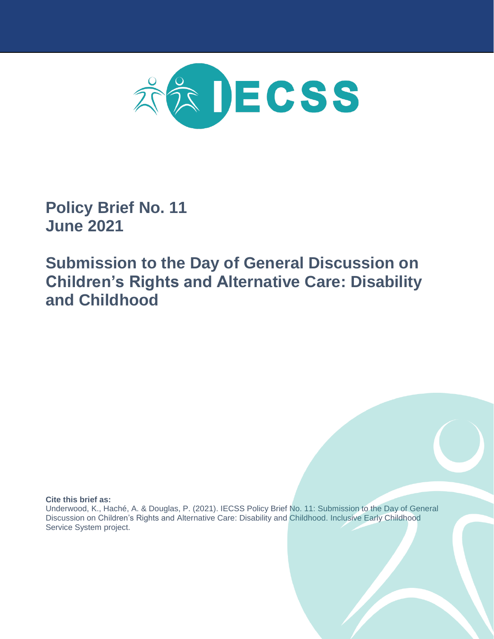

**Policy Brief No. 11 June 2021**

**Submission to the Day of General Discussion on Children's Rights and Alternative Care: Disability and Childhood**

**Cite this brief as:**

Underwood, K., Haché, A. & Douglas, P. (2021). IECSS Policy Brief No. 11: Submission to the Day of General Discussion on Children's Rights and Alternative Care: Disability and Childhood. Inclusive Early Childhood Service System project.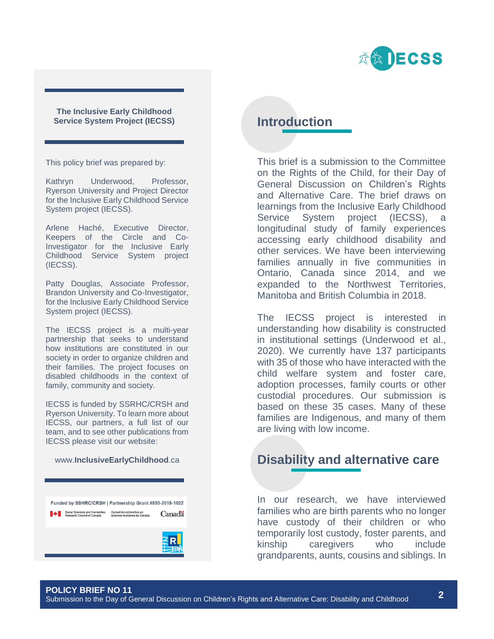

**The Inclusive Early Childhood Service System Project (IECSS)**

This policy brief was prepared by:

Kathryn Underwood, Professor, Ryerson University and Project Director for the Inclusive Early Childhood Service System project (IECSS).

Arlene Haché, Executive Director, Keepers of the Circle and Co-Investigator for the Inclusive Early Childhood Service System project (IECSS).

Patty Douglas, Associate Professor, Brandon University and Co-Investigator, for the Inclusive Early Childhood Service System project (IECSS).

The IECSS project is a multi-year partnership that seeks to understand how institutions are constituted in our society in order to organize children and their families. The project focuses on disabled childhoods in the context of family, community and society.

IECSS is funded by SSRHC/CRSH and Ryerson University. To learn more about IECSS, our partners, a full list of our team, and to see other publications from IECSS please visit our website:

#### www.**InclusiveEarlyChildhood**.ca

Funded by SSHRC/CRSH | Partnership Grant #895-2018-1022 ■ Social Sciences and Humanities Conseil de recherches en Canada Research Council of Canada sciences humaines du Canada

# **Introduction**

This brief is a submission to the Committee on the Rights of the Child, for their Day of General Discussion on Children's Rights and Alternative Care. The brief draws on learnings from the Inclusive Early Childhood Service System project (IECSS), a longitudinal study of family experiences accessing early childhood disability and other services. We have been interviewing families annually in five communities in Ontario, Canada since 2014, and we expanded to the Northwest Territories, Manitoba and British Columbia in 2018.

The IECSS project is interested in understanding how disability is constructed in institutional settings (Underwood et al., 2020). We currently have 137 participants with 35 of those who have interacted with the child welfare system and foster care, adoption processes, family courts or other custodial procedures. Our submission is based on these 35 cases. Many of these families are Indigenous, and many of them are living with low income.

# **Disability and alternative care**

In our research, we have interviewed families who are birth parents who no longer have custody of their children or who temporarily lost custody, foster parents, and kinship caregivers who include grandparents, aunts, cousins and siblings. In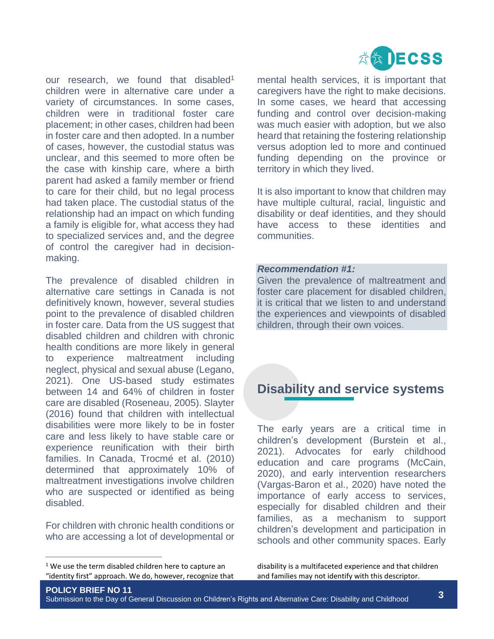

our research, we found that disabled<sup>1</sup> children were in alternative care under a variety of circumstances. In some cases, children were in traditional foster care placement; in other cases, children had been in foster care and then adopted. In a number of cases, however, the custodial status was unclear, and this seemed to more often be the case with kinship care, where a birth parent had asked a family member or friend to care for their child, but no legal process had taken place. The custodial status of the relationship had an impact on which funding a family is eligible for, what access they had to specialized services and, and the degree of control the caregiver had in decisionmaking.

The prevalence of disabled children in alternative care settings in Canada is not definitively known, however, several studies point to the prevalence of disabled children in foster care. Data from the US suggest that disabled children and children with chronic health conditions are more likely in general to experience maltreatment including neglect, physical and sexual abuse (Legano, 2021). One US-based study estimates between 14 and 64% of children in foster care are disabled (Roseneau, 2005). Slayter (2016) found that children with intellectual disabilities were more likely to be in foster care and less likely to have stable care or experience reunification with their birth families. In Canada, Trocmé et al. (2010) determined that approximately 10% of maltreatment investigations involve children who are suspected or identified as being disabled.

For children with chronic health conditions or who are accessing a lot of developmental or

 $\overline{a}$ 

mental health services, it is important that caregivers have the right to make decisions. In some cases, we heard that accessing funding and control over decision-making was much easier with adoption, but we also heard that retaining the fostering relationship versus adoption led to more and continued funding depending on the province or territory in which they lived.

It is also important to know that children may have multiple cultural, racial, linguistic and disability or deaf identities, and they should have access to these identities and communities.

#### *Recommendation #1:*

Given the prevalence of maltreatment and foster care placement for disabled children, it is critical that we listen to and understand the experiences and viewpoints of disabled children, through their own voices.

# **Disability and service systems**

The early years are a critical time in children's development (Burstein et al., 2021). Advocates for early childhood education and care programs (McCain, 2020), and early intervention researchers (Vargas-Baron et al., 2020) have noted the importance of early access to services, especially for disabled children and their families, as a mechanism to support children's development and participation in schools and other community spaces. Early

disability is a multifaceted experience and that children and families may not identify with this descriptor.

 $1$  We use the term disabled children here to capture an "identity first" approach. We do, however, recognize that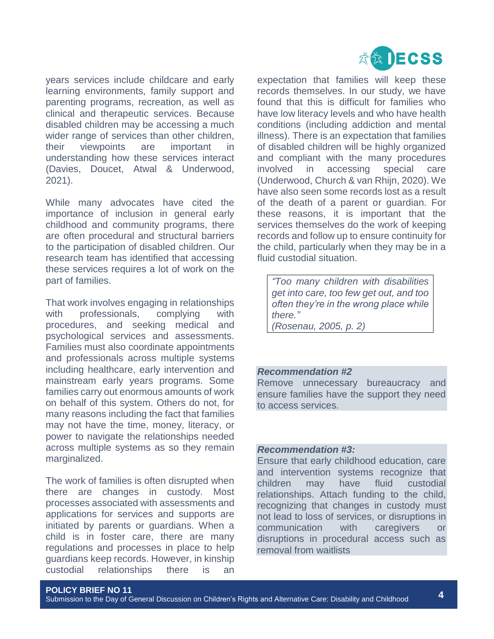

years services include childcare and early learning environments, family support and parenting programs, recreation, as well as clinical and therapeutic services. Because disabled children may be accessing a much wider range of services than other children, their viewpoints are important understanding how these services interact (Davies, Doucet, Atwal & Underwood, 2021).

While many advocates have cited the importance of inclusion in general early childhood and community programs, there are often procedural and structural barriers to the participation of disabled children. Our research team has identified that accessing these services requires a lot of work on the part of families.

That work involves engaging in relationships with professionals, complying with procedures, and seeking medical and psychological services and assessments. Families must also coordinate appointments and professionals across multiple systems including healthcare, early intervention and mainstream early years programs. Some families carry out enormous amounts of work on behalf of this system. Others do not, for many reasons including the fact that families may not have the time, money, literacy, or power to navigate the relationships needed across multiple systems as so they remain marginalized.

The work of families is often disrupted when there are changes in custody. Most processes associated with assessments and applications for services and supports are initiated by parents or guardians. When a child is in foster care, there are many regulations and processes in place to help guardians keep records. However, in kinship custodial relationships there is an

expectation that families will keep these records themselves. In our study, we have found that this is difficult for families who have low literacy levels and who have health conditions (including addiction and mental illness). There is an expectation that families of disabled children will be highly organized and compliant with the many procedures involved in accessing special care (Underwood, Church & van Rhijn, 2020). We have also seen some records lost as a result of the death of a parent or guardian. For these reasons, it is important that the services themselves do the work of keeping records and follow up to ensure continuity for the child, particularly when they may be in a fluid custodial situation.

*"Too many children with disabilities get into care, too few get out, and too often they're in the wrong place while there."*

*(Rosenau, 2005, p. 2)*

#### *Recommendation #2*

Remove unnecessary bureaucracy and ensure families have the support they need to access services.

#### *Recommendation #3:*

Ensure that early childhood education, care and intervention systems recognize that children may have fluid custodial relationships. Attach funding to the child, recognizing that changes in custody must not lead to loss of services, or disruptions in communication with caregivers or disruptions in procedural access such as removal from waitlists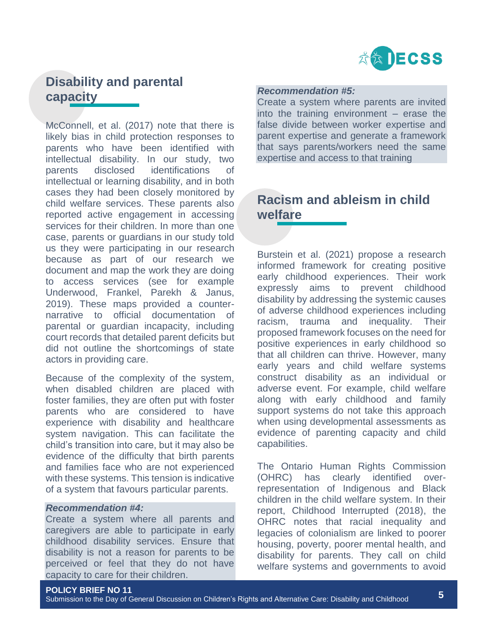

# **Disability and parental capacity**

McConnell, et al. (2017) note that there is likely bias in child protection responses to parents who have been identified with intellectual disability. In our study, two parents disclosed identifications of intellectual or learning disability, and in both cases they had been closely monitored by child welfare services. These parents also reported active engagement in accessing services for their children. In more than one case, parents or guardians in our study told us they were participating in our research because as part of our research we document and map the work they are doing to access services (see for example Underwood, Frankel, Parekh & Janus, 2019). These maps provided a counternarrative to official documentation of parental or guardian incapacity, including court records that detailed parent deficits but did not outline the shortcomings of state actors in providing care.

Because of the complexity of the system, when disabled children are placed with foster families, they are often put with foster parents who are considered to have experience with disability and healthcare system navigation. This can facilitate the child's transition into care, but it may also be evidence of the difficulty that birth parents and families face who are not experienced with these systems. This tension is indicative of a system that favours particular parents.

#### *Recommendation #4:*

Create a system where all parents and caregivers are able to participate in early childhood disability services. Ensure that disability is not a reason for parents to be perceived or feel that they do not have capacity to care for their children.

#### *Recommendation #5:*

Create a system where parents are invited into the training environment – erase the false divide between worker expertise and parent expertise and generate a framework that says parents/workers need the same expertise and access to that training

### **Racism and ableism in child welfare**

Burstein et al. (2021) propose a research informed framework for creating positive early childhood experiences. Their work expressly aims to prevent childhood disability by addressing the systemic causes of adverse childhood experiences including racism, trauma and inequality. Their proposed framework focuses on the need for positive experiences in early childhood so that all children can thrive. However, many early years and child welfare systems construct disability as an individual or adverse event. For example, child welfare along with early childhood and family support systems do not take this approach when using developmental assessments as evidence of parenting capacity and child capabilities.

The Ontario Human Rights Commission (OHRC) has clearly identified overrepresentation of Indigenous and Black children in the child welfare system. In their report, Childhood Interrupted (2018), the OHRC notes that racial inequality and legacies of colonialism are linked to poorer housing, poverty, poorer mental health, and disability for parents. They call on child welfare systems and governments to avoid

#### **POLICY BRIEF NO 11**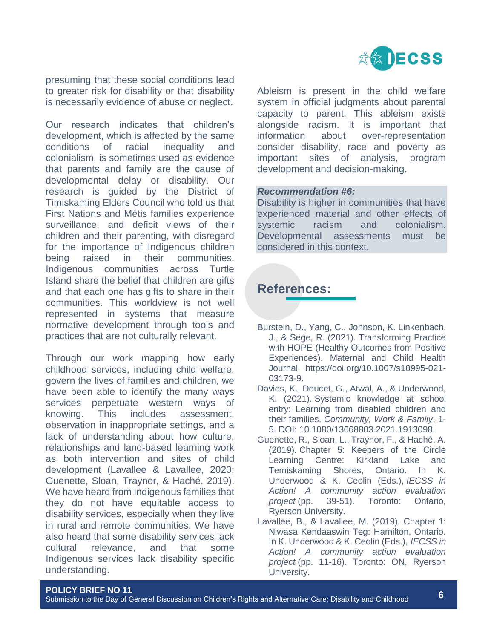

presuming that these social conditions lead to greater risk for disability or that disability is necessarily evidence of abuse or neglect.

Our research indicates that children's development, which is affected by the same conditions of racial inequality and colonialism, is sometimes used as evidence that parents and family are the cause of developmental delay or disability. Our research is guided by the District of Timiskaming Elders Council who told us that First Nations and Métis families experience surveillance, and deficit views of their children and their parenting, with disregard for the importance of Indigenous children being raised in their communities. Indigenous communities across Turtle Island share the belief that children are gifts and that each one has gifts to share in their communities. This worldview is not well represented in systems that measure normative development through tools and practices that are not culturally relevant.

Through our work mapping how early childhood services, including child welfare, govern the lives of families and children, we have been able to identify the many ways services perpetuate western ways of knowing. This includes assessment, observation in inappropriate settings, and a lack of understanding about how culture, relationships and land-based learning work as both intervention and sites of child development (Lavallee & Lavallee, 2020; Guenette, Sloan, Traynor, & Haché, 2019). We have heard from Indigenous families that they do not have equitable access to disability services, especially when they live in rural and remote communities. We have also heard that some disability services lack cultural relevance, and that some Indigenous services lack disability specific understanding.

Ableism is present in the child welfare system in official judgments about parental capacity to parent. This ableism exists alongside racism. It is important that information about over-representation consider disability, race and poverty as important sites of analysis, program development and decision-making.

#### *Recommendation #6:*

Disability is higher in communities that have experienced material and other effects of systemic racism and colonialism. Developmental assessments must be considered in this context.

## **References:**

- Burstein, D., Yang, C., Johnson, K. Linkenbach, J., & Sege, R. (2021). Transforming Practice with HOPE (Healthy Outcomes from Positive Experiences). Maternal and Child Health Journal, https://doi.org/10.1007/s10995-021- 03173-9.
- Davies, K., Doucet, G., Atwal, A., & Underwood, K. (2021). Systemic knowledge at school entry: Learning from disabled children and their families. *Community, Work & Family*, 1- 5. DOI: 10.1080/13668803.2021.1913098.
- Guenette, R., Sloan, L., Traynor, F., & Haché, A. (2019). Chapter 5: Keepers of the Circle Learning Centre: Kirkland Lake and Temiskaming Shores, Ontario. In K. Underwood & K. Ceolin (Eds.), *IECSS in Action! A community action evaluation project* (pp. 39-51). Toronto: Ontario, Ryerson University.
- Lavallee, B., & Lavallee, M. (2019). Chapter 1: Niwasa Kendaaswin Teg: Hamilton, Ontario. In K. Underwood & K. Ceolin (Eds.), *IECSS in Action! A community action evaluation project* (pp. 11-16). Toronto: ON, Ryerson University.

#### **POLICY BRIEF NO 11**